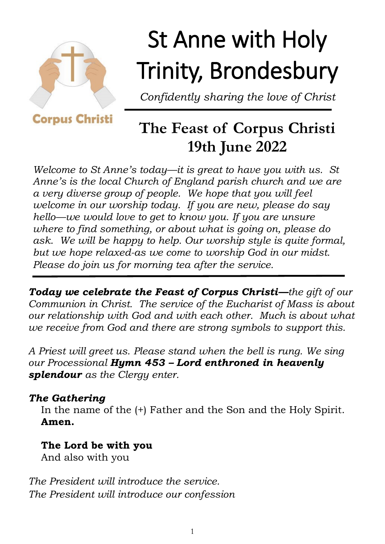

# St Anne with Holy Trinity, Brondesbury

*Confidently sharing the love of Christ*

**Corpus Christi** 

# **The Feast of Corpus Christi 19th June 2022**

*Welcome to St Anne's today—it is great to have you with us. St Anne's is the local Church of England parish church and we are a very diverse group of people. We hope that you will feel welcome in our worship today. If you are new, please do say hello—we would love to get to know you. If you are unsure where to find something, or about what is going on, please do ask. We will be happy to help. Our worship style is quite formal, but we hope relaxed-as we come to worship God in our midst. Please do join us for morning tea after the service.*

*Today we celebrate the Feast of Corpus Christi—the gift of our Communion in Christ. The service of the Eucharist of Mass is about our relationship with God and with each other. Much is about what we receive from God and there are strong symbols to support this.* 

*A Priest will greet us. Please stand when the bell is rung. We sing our Processional Hymn 453 – Lord enthroned in heavenly splendour as the Clergy enter.*

# *The Gathering*

In the name of the (+) Father and the Son and the Holy Spirit. **Amen.**

# **The Lord be with you**

And also with you

*The President will introduce the service. The President will introduce our confession*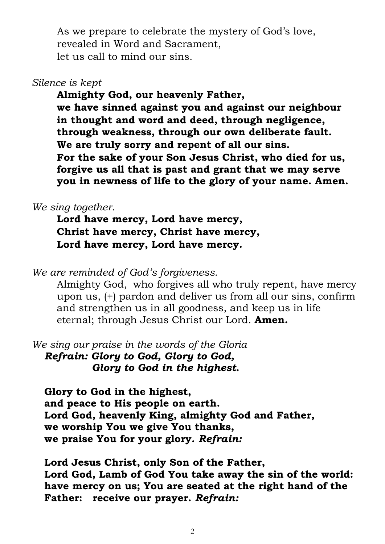As we prepare to celebrate the mystery of God's love, revealed in Word and Sacrament, let us call to mind our sins.

#### *Silence is kept*

**Almighty God, our heavenly Father, we have sinned against you and against our neighbour in thought and word and deed, through negligence, through weakness, through our own deliberate fault. We are truly sorry and repent of all our sins. For the sake of your Son Jesus Christ, who died for us, forgive us all that is past and grant that we may serve you in newness of life to the glory of your name. Amen.** 

#### *We sing together.*

**Lord have mercy, Lord have mercy, Christ have mercy, Christ have mercy, Lord have mercy, Lord have mercy.**

*We are reminded of God's forgiveness.*

Almighty God, who forgives all who truly repent, have mercy upon us, (+) pardon and deliver us from all our sins, confirm and strengthen us in all goodness, and keep us in life eternal; through Jesus Christ our Lord. **Amen.**

*We sing our praise in the words of the Gloria Refrain: Glory to God, Glory to God,* 

 *Glory to God in the highest.*

**Glory to God in the highest, and peace to His people on earth. Lord God, heavenly King, almighty God and Father, we worship You we give You thanks, we praise You for your glory.** *Refrain:*

**Lord Jesus Christ, only Son of the Father, Lord God, Lamb of God You take away the sin of the world: have mercy on us; You are seated at the right hand of the Father: receive our prayer.** *Refrain:*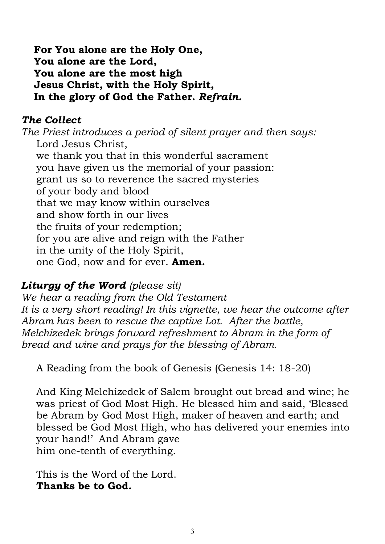**For You alone are the Holy One, You alone are the Lord, You alone are the most high Jesus Christ, with the Holy Spirit, In the glory of God the Father.** *Refrain.*

# *The Collect*

*The Priest introduces a period of silent prayer and then says:*  Lord Jesus Christ, we thank you that in this wonderful sacrament you have given us the memorial of your passion: grant us so to reverence the sacred mysteries of your body and blood that we may know within ourselves and show forth in our lives the fruits of your redemption; for you are alive and reign with the Father in the unity of the Holy Spirit, one God, now and for ever. **Amen.**

# *Liturgy of the Word (please sit)*

*We hear a reading from the Old Testament It is a very short reading! In this vignette, we hear the outcome after Abram has been to rescue the captive Lot. After the battle, Melchizedek brings forward refreshment to Abram in the form of bread and wine and prays for the blessing of Abram.* 

A Reading from the book of Genesis (Genesis 14: 18-20)

And King Melchizedek of Salem brought out bread and wine; he was priest of God Most High. He blessed him and said, 'Blessed be Abram by God Most High, maker of heaven and earth; and blessed be God Most High, who has delivered your enemies into your hand!' And Abram gave him one-tenth of everything.

This is the Word of the Lord. **Thanks be to God.**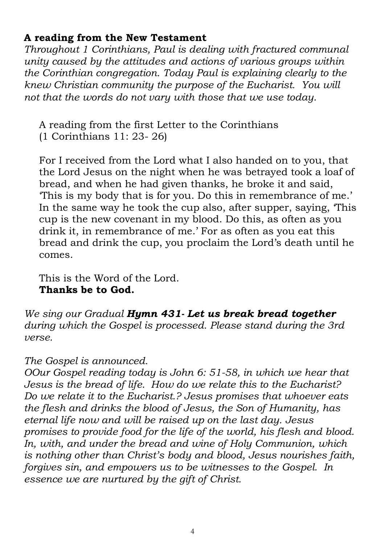### **A reading from the New Testament**

*Throughout 1 Corinthians, Paul is dealing with fractured communal unity caused by the attitudes and actions of various groups within the Corinthian congregation. Today Paul is explaining clearly to the knew Christian community the purpose of the Eucharist. You will not that the words do not vary with those that we use today.* 

A reading from the first Letter to the Corinthians (1 Corinthians 11: 23- 26)

For I received from the Lord what I also handed on to you, that the Lord Jesus on the night when he was betrayed took a loaf of bread, and when he had given thanks, he broke it and said, 'This is my body that is for you. Do this in remembrance of me.' In the same way he took the cup also, after supper, saying, 'This cup is the new covenant in my blood. Do this, as often as you drink it, in remembrance of me.' For as often as you eat this bread and drink the cup, you proclaim the Lord's death until he comes.

This is the Word of the Lord. **Thanks be to God.** 

*We sing our Gradual Hymn 431- Let us break bread together during which the Gospel is processed. Please stand during the 3rd verse.* 

#### *The Gospel is announced.*

*OOur Gospel reading today is John 6: 51-58, in which we hear that Jesus is the bread of life. How do we relate this to the Eucharist? Do we relate it to the Eucharist.? Jesus promises that whoever eats the flesh and drinks the blood of Jesus, the Son of Humanity, has eternal life now and will be raised up on the last day. Jesus promises to provide food for the life of the world, his flesh and blood. In, with, and under the bread and wine of Holy Communion, which is nothing other than Christ's body and blood, Jesus nourishes faith, forgives sin, and empowers us to be witnesses to the Gospel. In essence we are nurtured by the gift of Christ.*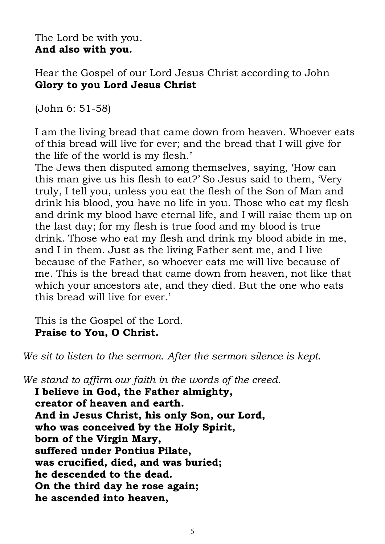The Lord be with you. **And also with you.**

Hear the Gospel of our Lord Jesus Christ according to John **Glory to you Lord Jesus Christ**

(John 6: 51-58)

I am the living bread that came down from heaven. Whoever eats of this bread will live for ever; and the bread that I will give for the life of the world is my flesh.'

The Jews then disputed among themselves, saying, 'How can this man give us his flesh to eat?' So Jesus said to them, 'Very truly, I tell you, unless you eat the flesh of the Son of Man and drink his blood, you have no life in you. Those who eat my flesh and drink my blood have eternal life, and I will raise them up on the last day; for my flesh is true food and my blood is true drink. Those who eat my flesh and drink my blood abide in me, and I in them. Just as the living Father sent me, and I live because of the Father, so whoever eats me will live because of me. This is the bread that came down from heaven, not like that which your ancestors ate, and they died. But the one who eats this bread will live for ever.'

This is the Gospel of the Lord. **Praise to You, O Christ.**

*We sit to listen to the sermon. After the sermon silence is kept.*

*We stand to affirm our faith in the words of the creed.*

**I believe in God, the Father almighty, creator of heaven and earth. And in Jesus Christ, his only Son, our Lord, who was conceived by the Holy Spirit, born of the Virgin Mary, suffered under Pontius Pilate, was crucified, died, and was buried; he descended to the dead. On the third day he rose again; he ascended into heaven,**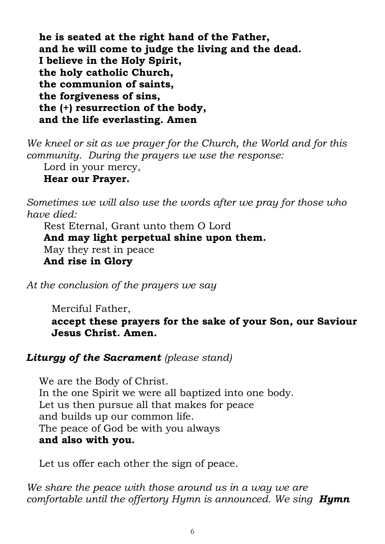**he is seated at the right hand of the Father, and he will come to judge the living and the dead. I believe in the Holy Spirit, the holy catholic Church, the communion of saints, the forgiveness of sins, the (+) resurrection of the body, and the life everlasting. Amen** 

*We kneel or sit as we prayer for the Church, the World and for this community. During the prayers we use the response:*

Lord in your mercy,

#### **Hear our Prayer.**

*Sometimes we will also use the words after we pray for those who have died:*

Rest Eternal, Grant unto them O Lord **And may light perpetual shine upon them.** May they rest in peace **And rise in Glory**

*At the conclusion of the prayers we say*

Merciful Father,

**accept these prayers for the sake of your Son, our Saviour Jesus Christ. Amen.**

#### *Liturgy of the Sacrament (please stand)*

We are the Body of Christ. In the one Spirit we were all baptized into one body. Let us then pursue all that makes for peace and builds up our common life. The peace of God be with you always **and also with you.**

Let us offer each other the sign of peace.

*We share the peace with those around us in a way we are comfortable until the offertory Hymn is announced. We sing Hymn*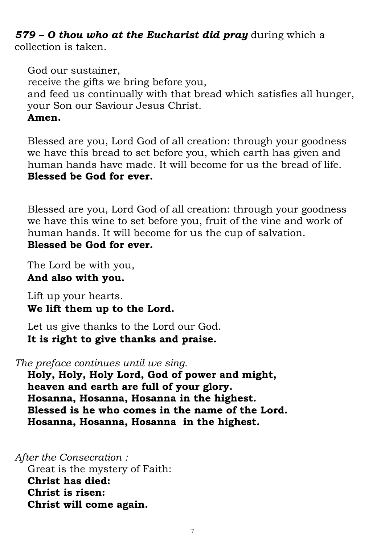*579 – O thou who at the Eucharist did pray* during which a collection is taken.

God our sustainer, receive the gifts we bring before you, and feed us continually with that bread which satisfies all hunger, your Son our Saviour Jesus Christ. **Amen.**

Blessed are you, Lord God of all creation: through your goodness we have this bread to set before you, which earth has given and human hands have made. It will become for us the bread of life. **Blessed be God for ever.**

Blessed are you, Lord God of all creation: through your goodness we have this wine to set before you, fruit of the vine and work of human hands. It will become for us the cup of salvation. **Blessed be God for ever.**

The Lord be with you, **And also with you.**

Lift up your hearts. **We lift them up to the Lord.**

Let us give thanks to the Lord our God. **It is right to give thanks and praise.**

*The preface continues until we sing.*

**Holy, Holy, Holy Lord, God of power and might, heaven and earth are full of your glory. Hosanna, Hosanna, Hosanna in the highest. Blessed is he who comes in the name of the Lord. Hosanna, Hosanna, Hosanna in the highest.**

*After the Consecration :*

Great is the mystery of Faith: **Christ has died: Christ is risen: Christ will come again.**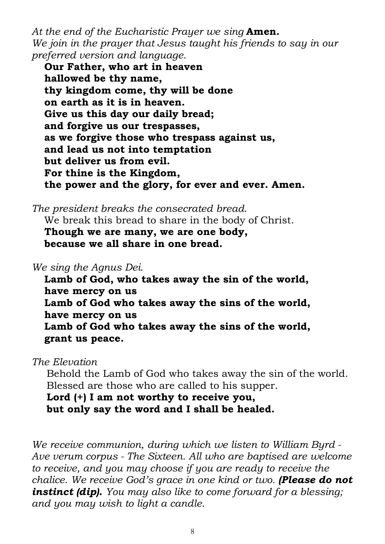*At the end of the Eucharistic Prayer we sing* **Amen.** *We join in the prayer that Jesus taught his friends to say in our preferred version and language.* 

**Our Father, who art in heaven hallowed be thy name, thy kingdom come, thy will be done on earth as it is in heaven. Give us this day our daily bread; and forgive us our trespasses, as we forgive those who trespass against us, and lead us not into temptation but deliver us from evil. For thine is the Kingdom, the power and the glory, for ever and ever. Amen.**

*The president breaks the consecrated bread*. We break this bread to share in the body of Christ. **Though we are many, we are one body, because we all share in one bread.** 

*We sing the Agnus Dei.*

**Lamb of God, who takes away the sin of the world, have mercy on us Lamb of God who takes away the sins of the world, have mercy on us Lamb of God who takes away the sins of the world, grant us peace.**

*The Elevation* 

Behold the Lamb of God who takes away the sin of the world. Blessed are those who are called to his supper.

**Lord (+) I am not worthy to receive you, but only say the word and I shall be healed.**

*We receive communion, during which we listen to William Byrd - Ave verum corpus - The Sixteen. All who are baptised are welcome to receive, and you may choose if you are ready to receive the chalice. We receive God's grace in one kind or two. (Please do not instinct (dip). You may also like to come forward for a blessing; and you may wish to light a candle.*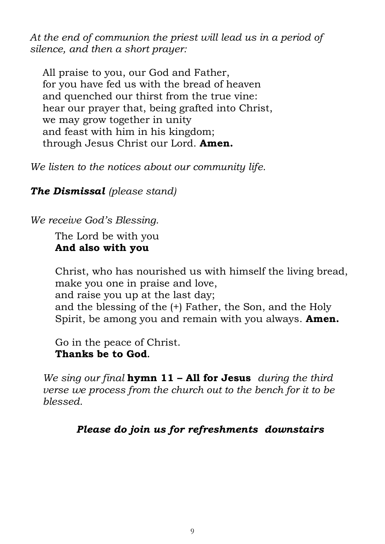*At the end of communion the priest will lead us in a period of silence, and then a short prayer:*

All praise to you, our God and Father, for you have fed us with the bread of heaven and quenched our thirst from the true vine: hear our prayer that, being grafted into Christ, we may grow together in unity and feast with him in his kingdom; through Jesus Christ our Lord. **Amen.** 

*We listen to the notices about our community life.*

*The Dismissal (please stand)*

*We receive God's Blessing.*

The Lord be with you **And also with you**

Christ, who has nourished us with himself the living bread, make you one in praise and love, and raise you up at the last day; and the blessing of the (+) Father, the Son, and the Holy Spirit, be among you and remain with you always. **Amen.**

Go in the peace of Christ. **Thanks be to God.** 

*We sing our final* **hymn 11 – All for Jesus** *during the third verse we process from the church out to the bench for it to be blessed.*

*Please do join us for refreshments downstairs*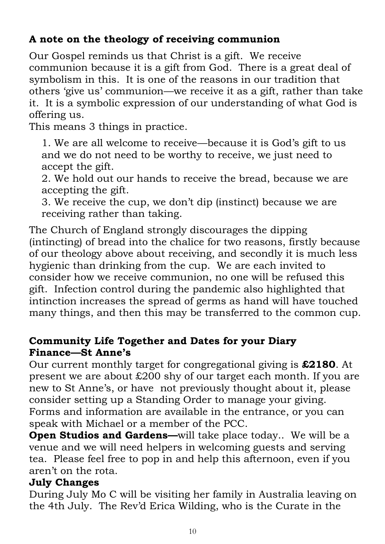# **A note on the theology of receiving communion**

Our Gospel reminds us that Christ is a gift. We receive communion because it is a gift from God. There is a great deal of symbolism in this. It is one of the reasons in our tradition that others 'give us' communion—we receive it as a gift, rather than take it. It is a symbolic expression of our understanding of what God is offering us.

This means 3 things in practice.

1. We are all welcome to receive—because it is God's gift to us and we do not need to be worthy to receive, we just need to accept the gift.

2. We hold out our hands to receive the bread, because we are accepting the gift.

3. We receive the cup, we don't dip (instinct) because we are receiving rather than taking.

The Church of England strongly discourages the dipping (intincting) of bread into the chalice for two reasons, firstly because of our theology above about receiving, and secondly it is much less hygienic than drinking from the cup. We are each invited to consider how we receive communion, no one will be refused this gift. Infection control during the pandemic also highlighted that intinction increases the spread of germs as hand will have touched many things, and then this may be transferred to the common cup.

# **Community Life Together and Dates for your Diary Finance—St Anne's**

Our current monthly target for congregational giving is **£2180**. At present we are about £200 shy of our target each month. If you are new to St Anne's, or have not previously thought about it, please consider setting up a Standing Order to manage your giving. Forms and information are available in the entrance, or you can speak with Michael or a member of the PCC.

**Open Studios and Gardens—**will take place today.. We will be a venue and we will need helpers in welcoming guests and serving tea. Please feel free to pop in and help this afternoon, even if you aren't on the rota.

# **July Changes**

During July Mo C will be visiting her family in Australia leaving on the 4th July. The Rev'd Erica Wilding, who is the Curate in the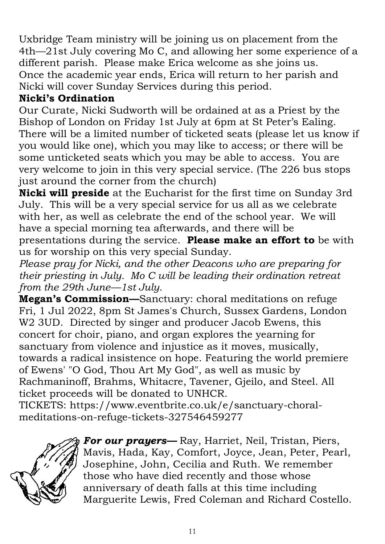Uxbridge Team ministry will be joining us on placement from the 4th—21st July covering Mo C, and allowing her some experience of a different parish. Please make Erica welcome as she joins us. Once the academic year ends, Erica will return to her parish and Nicki will cover Sunday Services during this period.

# **Nicki's Ordination**

Our Curate, Nicki Sudworth will be ordained at as a Priest by the Bishop of London on Friday 1st July at 6pm at St Peter's Ealing. There will be a limited number of ticketed seats (please let us know if you would like one), which you may like to access; or there will be some unticketed seats which you may be able to access. You are very welcome to join in this very special service. (The 226 bus stops just around the corner from the church)

**Nicki will preside** at the Eucharist for the first time on Sunday 3rd July. This will be a very special service for us all as we celebrate with her, as well as celebrate the end of the school year. We will have a special morning tea afterwards, and there will be presentations during the service. **Please make an effort to** be with us for worship on this very special Sunday.

*Please pray for Nicki, and the other Deacons who are preparing for their priesting in July. Mo C will be leading their ordination retreat from the 29th June—1st July.* 

**Megan's Commission—**Sanctuary: choral meditations on refuge Fri, 1 Jul 2022, 8pm St James's Church, Sussex Gardens, London W<sub>2</sub> 3UD. Directed by singer and producer Jacob Ewens, this concert for choir, piano, and organ explores the yearning for sanctuary from violence and injustice as it moves, musically, towards a radical insistence on hope. Featuring the world premiere of Ewens' "O God, Thou Art My God", as well as music by Rachmaninoff, Brahms, Whitacre, Tavener, Gjeilo, and Steel. All ticket proceeds will be donated to UNHCR.

TICKETS: https://www.eventbrite.co.uk/e/sanctuary-choralmeditations-on-refuge-tickets-327546459277



*For our prayers—* Ray, Harriet, Neil, Tristan, Piers, Mavis, Hada, Kay, Comfort, Joyce, Jean, Peter, Pearl, Josephine, John, Cecilia and Ruth. We remember those who have died recently and those whose anniversary of death falls at this time including Marguerite Lewis, Fred Coleman and Richard Costello.